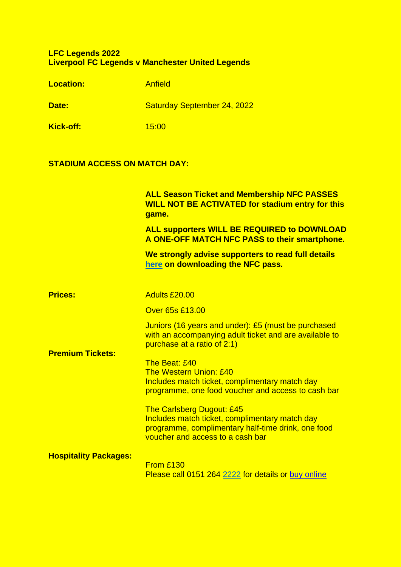## **LFC Legends 2022 Liverpool FC Legends v Manchester United Legends**

| <b>Location:</b> | <b>Anfield</b>                     |
|------------------|------------------------------------|
| Date:            | <b>Saturday September 24, 2022</b> |
| Kick-off:        | 15:00                              |

## **STADIUM ACCESS ON MATCH DAY:**

|                              | <b>ALL Season Ticket and Membership NFC PASSES</b><br><b>WILL NOT BE ACTIVATED for stadium entry for this</b><br>game.                                                       |
|------------------------------|------------------------------------------------------------------------------------------------------------------------------------------------------------------------------|
|                              | <b>ALL supporters WILL BE REQUIRED to DOWNLOAD</b><br>A ONE-OFF MATCH NFC PASS to their smartphone.                                                                          |
|                              | We strongly advise supporters to read full details<br>here on downloading the NFC pass.                                                                                      |
| <b>Prices:</b>               | Adults £20.00                                                                                                                                                                |
| <b>Premium Tickets:</b>      | Over 65s £13.00                                                                                                                                                              |
|                              | Juniors (16 years and under): £5 (must be purchased<br>with an accompanying adult ticket and are available to<br>purchase at a ratio of 2:1)                                 |
|                              | The Beat: £40<br><b>The Western Union: £40</b><br>Includes match ticket, complimentary match day<br>programme, one food voucher and access to cash bar                       |
|                              | <b>The Carlsberg Dugout: £45</b><br>Includes match ticket, complimentary match day<br>programme, complimentary half-time drink, one food<br>voucher and access to a cash bar |
| <b>Hospitality Packages:</b> | From £130<br>Please call 0151 264 2222 for details or buy online                                                                                                             |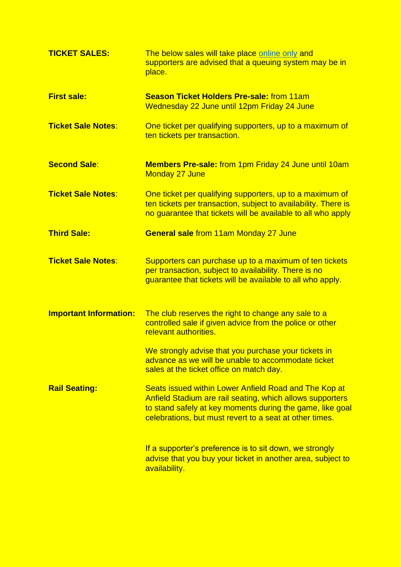| <b>TICKET SALES:</b>          | The below sales will take place online only and<br>supporters are advised that a queuing system may be in<br>place.                                                                                                                        |
|-------------------------------|--------------------------------------------------------------------------------------------------------------------------------------------------------------------------------------------------------------------------------------------|
| <b>First sale:</b>            | <b>Season Ticket Holders Pre-sale: from 11am</b><br>Wednesday 22 June until 12pm Friday 24 June                                                                                                                                            |
| <b>Ticket Sale Notes:</b>     | One ticket per qualifying supporters, up to a maximum of<br>ten tickets per transaction.                                                                                                                                                   |
| <b>Second Sale:</b>           | <b>Members Pre-sale:</b> from 1pm Friday 24 June until 10am<br>Monday 27 June                                                                                                                                                              |
| <b>Ticket Sale Notes:</b>     | One ticket per qualifying supporters, up to a maximum of<br>ten tickets per transaction, subject to availability. There is<br>no guarantee that tickets will be available to all who apply                                                 |
| <b>Third Sale:</b>            | <b>General sale from 11am Monday 27 June</b>                                                                                                                                                                                               |
| <b>Ticket Sale Notes:</b>     | Supporters can purchase up to a maximum of ten tickets<br>per transaction, subject to availability. There is no<br>guarantee that tickets will be available to all who apply.                                                              |
| <b>Important Information:</b> | The club reserves the right to change any sale to a<br>controlled sale if given advice from the police or other<br>relevant authorities.                                                                                                   |
|                               | We strongly advise that you purchase your tickets in<br>advance as we will be unable to accommodate ticket<br>sales at the ticket office on match day.                                                                                     |
| <b>Rail Seating:</b>          | Seats issued within Lower Anfield Road and The Kop at<br>Anfield Stadium are rail seating, which allows supporters<br>to stand safely at key moments during the game, like goal<br>celebrations, but must revert to a seat at other times. |
|                               | If a supporter's preference is to sit down, we strongly<br>advise that you buy your ticket in another area, subject to<br>availability.                                                                                                    |